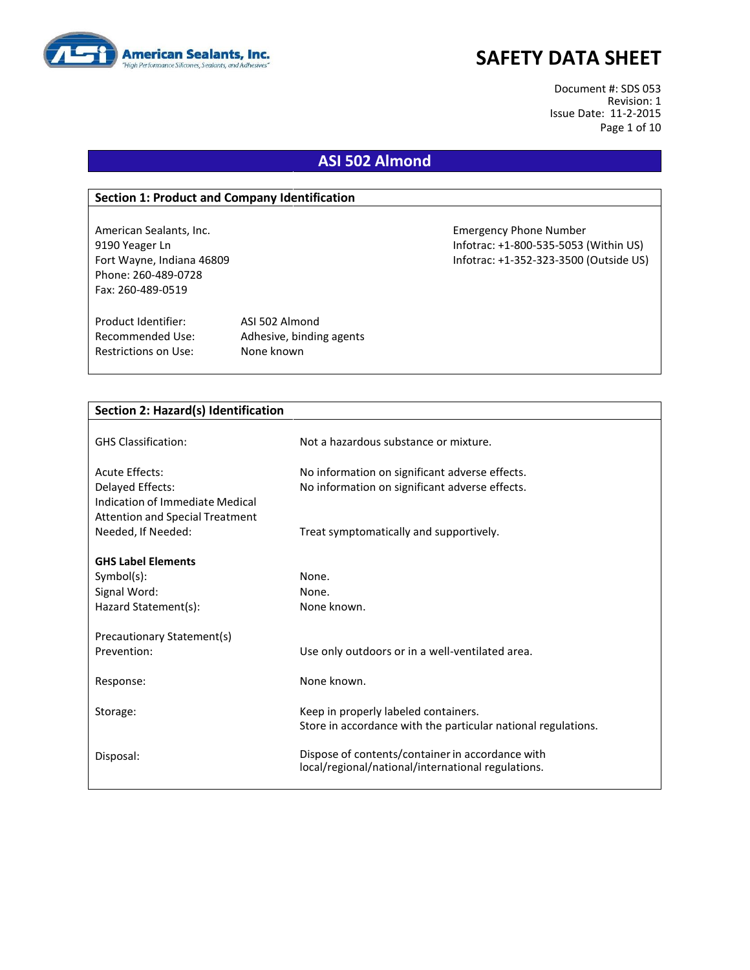

Document #: SDS 053 Revision: 1 Issue Date: 11-2-2015 Page 1 of 10

# **ASI 502 Almond**

#### **Section 1: Product and Company Identification**

Phone: 260-489-0728 Fax: 260-489-0519

Product Identifier: ASI 502 Almond Restrictions on Use: None known

Recommended Use: Adhesive, binding agents

American Sealants, Inc. Emergency Phone Number 9190 Yeager Ln Infotrac: +1-800-535-5053 (Within US) Fort Wayne, Indiana 46809 Infotrac: +1-352-323-3500 (Outside US)

| <b>Section 2: Hazard(s) Identification</b> |                                                               |  |  |  |
|--------------------------------------------|---------------------------------------------------------------|--|--|--|
|                                            |                                                               |  |  |  |
| <b>GHS Classification:</b>                 | Not a hazardous substance or mixture.                         |  |  |  |
| <b>Acute Effects:</b>                      | No information on significant adverse effects.                |  |  |  |
| Delayed Effects:                           | No information on significant adverse effects.                |  |  |  |
| Indication of Immediate Medical            |                                                               |  |  |  |
| <b>Attention and Special Treatment</b>     |                                                               |  |  |  |
| Needed, If Needed:                         | Treat symptomatically and supportively.                       |  |  |  |
|                                            |                                                               |  |  |  |
| <b>GHS Label Elements</b>                  |                                                               |  |  |  |
| $Symbol(s)$ :                              | None.                                                         |  |  |  |
| Signal Word:                               | None.                                                         |  |  |  |
| Hazard Statement(s):                       | None known.                                                   |  |  |  |
| Precautionary Statement(s)                 |                                                               |  |  |  |
| Prevention:                                | Use only outdoors or in a well-ventilated area.               |  |  |  |
|                                            |                                                               |  |  |  |
| Response:                                  | None known.                                                   |  |  |  |
|                                            |                                                               |  |  |  |
| Storage:                                   | Keep in properly labeled containers.                          |  |  |  |
|                                            | Store in accordance with the particular national regulations. |  |  |  |
|                                            |                                                               |  |  |  |
| Disposal:                                  | Dispose of contents/container in accordance with              |  |  |  |
|                                            | local/regional/national/international regulations.            |  |  |  |
|                                            |                                                               |  |  |  |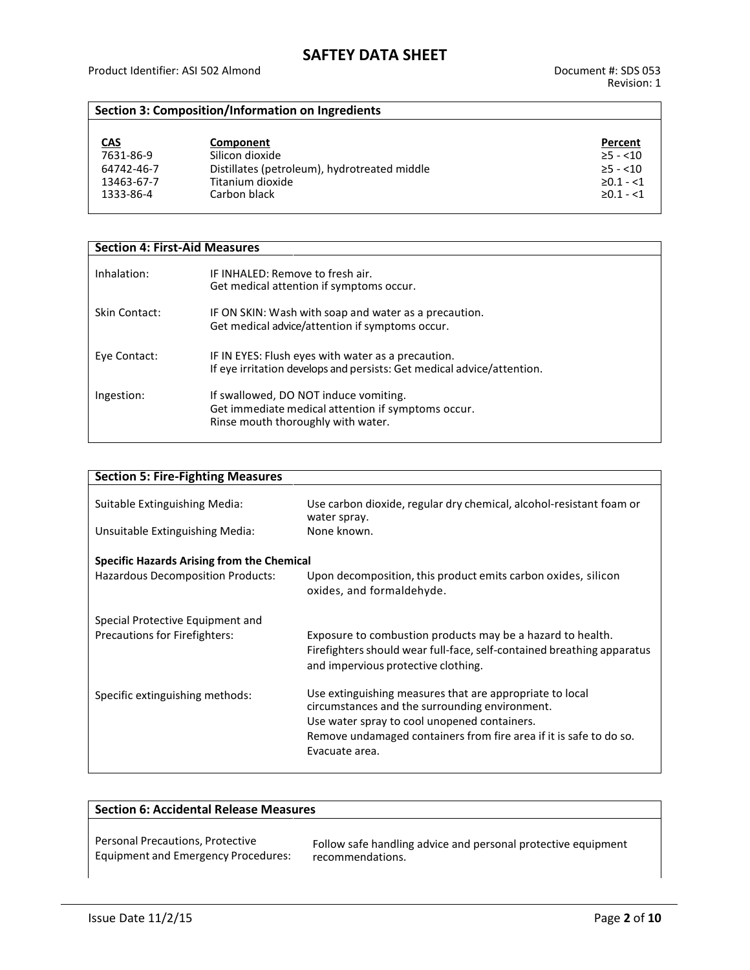### **Section 3: Composition/Information on Ingredients**

| <u>CAS</u> | Component                                    | Percent          |
|------------|----------------------------------------------|------------------|
| 7631-86-9  | Silicon dioxide                              | $\geq$ 5 - <10   |
| 64742-46-7 | Distillates (petroleum), hydrotreated middle | $>5 - 10$        |
| 13463-67-7 | Titanium dioxide                             | $\geq 0.1 - 1.1$ |
| 1333-86-4  | Carbon black                                 | $\geq 0.1 - 1.1$ |

| <b>Section 4: First-Aid Measures</b> |                                                                                                                                   |  |  |  |
|--------------------------------------|-----------------------------------------------------------------------------------------------------------------------------------|--|--|--|
| Inhalation:                          | IF INHALED: Remove to fresh air.<br>Get medical attention if symptoms occur.                                                      |  |  |  |
| Skin Contact:                        | IF ON SKIN: Wash with soap and water as a precaution.<br>Get medical advice/attention if symptoms occur.                          |  |  |  |
| Eye Contact:                         | IF IN EYES: Flush eyes with water as a precaution.<br>If eye irritation develops and persists: Get medical advice/attention.      |  |  |  |
| Ingestion:                           | If swallowed, DO NOT induce vomiting.<br>Get immediate medical attention if symptoms occur.<br>Rinse mouth thoroughly with water. |  |  |  |

| <b>Section 5: Fire-Fighting Measures</b>   |                                                                                                                                                                             |
|--------------------------------------------|-----------------------------------------------------------------------------------------------------------------------------------------------------------------------------|
| Suitable Extinguishing Media:              | Use carbon dioxide, regular dry chemical, alcohol-resistant foam or<br>water spray.                                                                                         |
| Unsuitable Extinguishing Media:            | None known.                                                                                                                                                                 |
| Specific Hazards Arising from the Chemical |                                                                                                                                                                             |
| <b>Hazardous Decomposition Products:</b>   | Upon decomposition, this product emits carbon oxides, silicon<br>oxides, and formaldehyde.                                                                                  |
| Special Protective Equipment and           |                                                                                                                                                                             |
| Precautions for Firefighters:              | Exposure to combustion products may be a hazard to health.<br>Firefighters should wear full-face, self-contained breathing apparatus<br>and impervious protective clothing. |
| Specific extinguishing methods:            | Use extinguishing measures that are appropriate to local<br>circumstances and the surrounding environment.                                                                  |
|                                            | Use water spray to cool unopened containers.                                                                                                                                |
|                                            | Remove undamaged containers from fire area if it is safe to do so.                                                                                                          |
|                                            | Evacuate area.                                                                                                                                                              |
|                                            |                                                                                                                                                                             |

| <b>Section 6: Accidental Release Measures</b> |                                                               |  |
|-----------------------------------------------|---------------------------------------------------------------|--|
| Personal Precautions, Protective              | Follow safe handling advice and personal protective equipment |  |
| Equipment and Emergency Procedures:           | recommendations.                                              |  |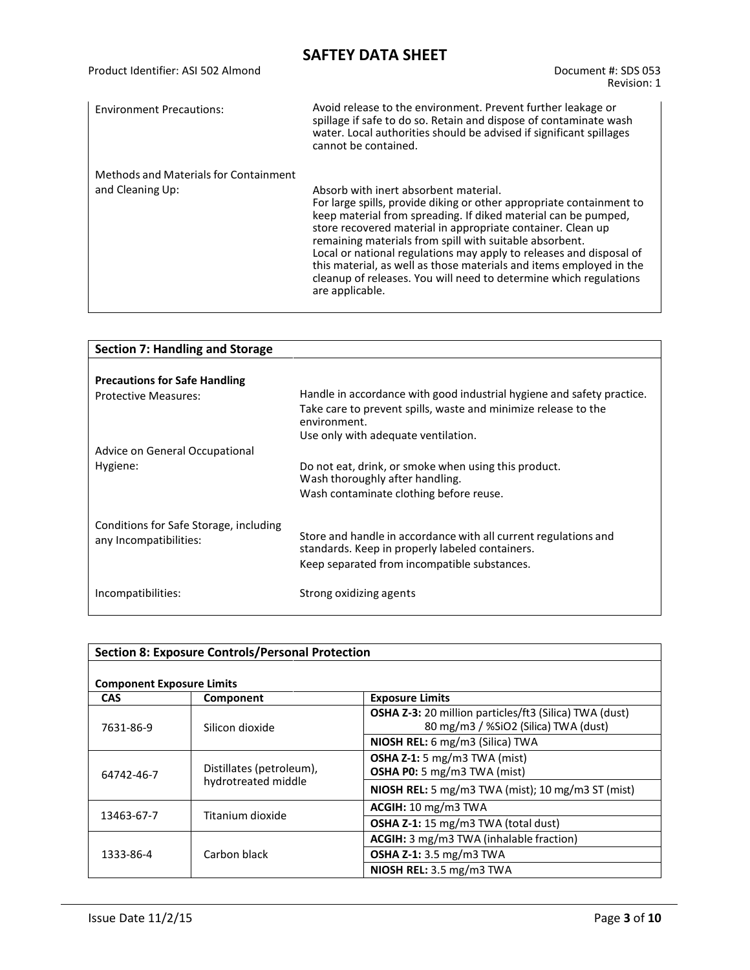| Product Identifier: ASI 502 Almond    | Document #: SDS 053<br>Revision: 1                                                                                                                                                                                                                                                                                                                                                                                                                                                                                                              |
|---------------------------------------|-------------------------------------------------------------------------------------------------------------------------------------------------------------------------------------------------------------------------------------------------------------------------------------------------------------------------------------------------------------------------------------------------------------------------------------------------------------------------------------------------------------------------------------------------|
| <b>Environment Precautions:</b>       | Avoid release to the environment. Prevent further leakage or<br>spillage if safe to do so. Retain and dispose of contaminate wash<br>water. Local authorities should be advised if significant spillages<br>cannot be contained.                                                                                                                                                                                                                                                                                                                |
| Methods and Materials for Containment |                                                                                                                                                                                                                                                                                                                                                                                                                                                                                                                                                 |
| and Cleaning Up:                      | Absorb with inert absorbent material.<br>For large spills, provide diking or other appropriate containment to<br>keep material from spreading. If diked material can be pumped,<br>store recovered material in appropriate container. Clean up<br>remaining materials from spill with suitable absorbent.<br>Local or national regulations may apply to releases and disposal of<br>this material, as well as those materials and items employed in the<br>cleanup of releases. You will need to determine which regulations<br>are applicable. |

| Handle in accordance with good industrial hygiene and safety practice.                  |
|-----------------------------------------------------------------------------------------|
| Take care to prevent spills, waste and minimize release to the<br>environment.          |
| Use only with adequate ventilation.                                                     |
|                                                                                         |
| Do not eat, drink, or smoke when using this product.<br>Wash thoroughly after handling. |
| Wash contaminate clothing before reuse.                                                 |
|                                                                                         |
| Store and handle in accordance with all current regulations and                         |
| standards. Keep in properly labeled containers.                                         |
| Keep separated from incompatible substances.                                            |
| Strong oxidizing agents                                                                 |
|                                                                                         |

| <b>Section 8: Exposure Controls/Personal Protection</b> |                                                 |                                                                                                       |  |
|---------------------------------------------------------|-------------------------------------------------|-------------------------------------------------------------------------------------------------------|--|
| <b>Component Exposure Limits</b>                        |                                                 |                                                                                                       |  |
| <b>CAS</b>                                              | Component                                       | <b>Exposure Limits</b>                                                                                |  |
| 7631-86-9                                               | Silicon dioxide                                 | <b>OSHA Z-3:</b> 20 million particles/ft3 (Silica) TWA (dust)<br>80 mg/m3 / %SiO2 (Silica) TWA (dust) |  |
|                                                         |                                                 | NIOSH REL: 6 mg/m3 (Silica) TWA                                                                       |  |
| 64742-46-7                                              | Distillates (petroleum),<br>hydrotreated middle | OSHA Z-1: 5 mg/m3 TWA (mist)<br><b>OSHA P0:</b> 5 mg/m3 TWA (mist)                                    |  |
|                                                         |                                                 | <b>NIOSH REL:</b> 5 mg/m3 TWA (mist); 10 mg/m3 ST (mist)                                              |  |
|                                                         | Titanium dioxide                                | ACGH: 10 mg/m3 TWA                                                                                    |  |
| 13463-67-7                                              |                                                 | <b>OSHA Z-1:</b> 15 mg/m3 TWA (total dust)                                                            |  |
|                                                         |                                                 | ACGIH: 3 mg/m3 TWA (inhalable fraction)                                                               |  |
| 1333-86-4                                               | Carbon black                                    | <b>OSHA Z-1:</b> 3.5 mg/m3 TWA                                                                        |  |
|                                                         |                                                 | NIOSH REL: 3.5 mg/m3 TWA                                                                              |  |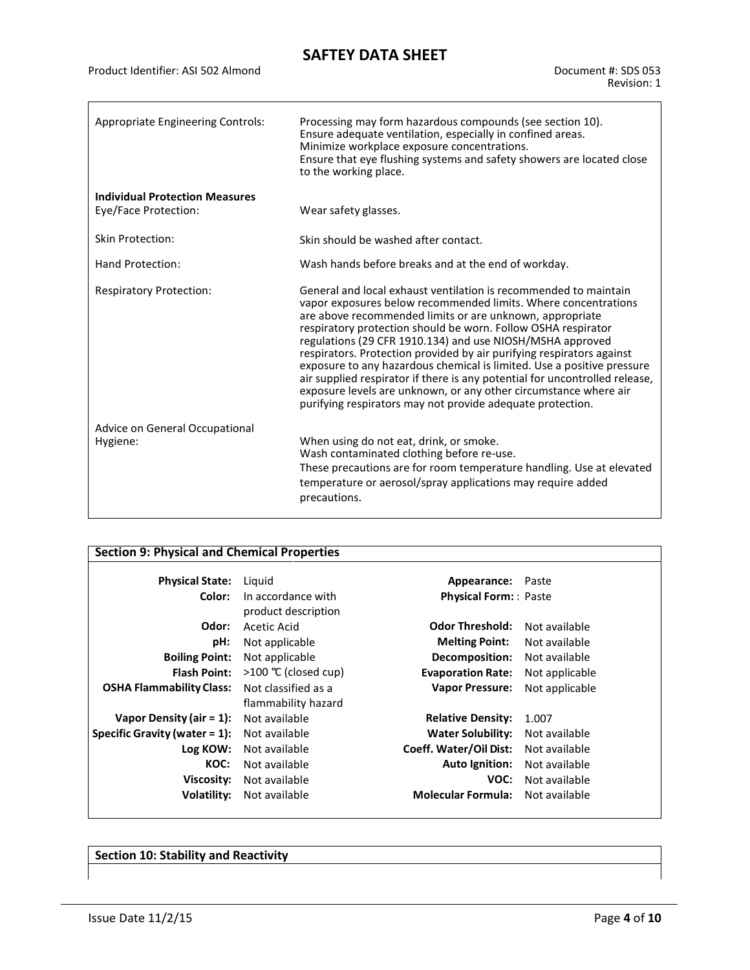| Appropriate Engineering Controls:                             | Processing may form hazardous compounds (see section 10).<br>Ensure adequate ventilation, especially in confined areas.<br>Minimize workplace exposure concentrations.<br>Ensure that eye flushing systems and safety showers are located close<br>to the working place.                                                                                                                                                                                                                                                                                                                                                                                                                         |  |
|---------------------------------------------------------------|--------------------------------------------------------------------------------------------------------------------------------------------------------------------------------------------------------------------------------------------------------------------------------------------------------------------------------------------------------------------------------------------------------------------------------------------------------------------------------------------------------------------------------------------------------------------------------------------------------------------------------------------------------------------------------------------------|--|
| <b>Individual Protection Measures</b><br>Eye/Face Protection: | Wear safety glasses.                                                                                                                                                                                                                                                                                                                                                                                                                                                                                                                                                                                                                                                                             |  |
| <b>Skin Protection:</b>                                       | Skin should be washed after contact.                                                                                                                                                                                                                                                                                                                                                                                                                                                                                                                                                                                                                                                             |  |
| Hand Protection:                                              | Wash hands before breaks and at the end of workday.                                                                                                                                                                                                                                                                                                                                                                                                                                                                                                                                                                                                                                              |  |
| <b>Respiratory Protection:</b>                                | General and local exhaust ventilation is recommended to maintain<br>vapor exposures below recommended limits. Where concentrations<br>are above recommended limits or are unknown, appropriate<br>respiratory protection should be worn. Follow OSHA respirator<br>regulations (29 CFR 1910.134) and use NIOSH/MSHA approved<br>respirators. Protection provided by air purifying respirators against<br>exposure to any hazardous chemical is limited. Use a positive pressure<br>air supplied respirator if there is any potential for uncontrolled release,<br>exposure levels are unknown, or any other circumstance where air<br>purifying respirators may not provide adequate protection. |  |
| Advice on General Occupational<br>Hygiene:                    | When using do not eat, drink, or smoke.<br>Wash contaminated clothing before re-use.<br>These precautions are for room temperature handling. Use at elevated<br>temperature or aerosol/spray applications may require added<br>precautions.                                                                                                                                                                                                                                                                                                                                                                                                                                                      |  |

### **Section 9: Physical and Chemical Properties**

| <b>Physical State:</b>           | Liguid              | Appearance: Paste             |                |
|----------------------------------|---------------------|-------------------------------|----------------|
| Color:                           | In accordance with  | <b>Physical Form:</b> Paste   |                |
|                                  | product description |                               |                |
| Odor:                            | Acetic Acid         | <b>Odor Threshold:</b>        | Not available  |
| pH:                              | Not applicable      | <b>Melting Point:</b>         | Not available  |
| <b>Boiling Point:</b>            | Not applicable      | Decomposition:                | Not available  |
| <b>Flash Point:</b>              | >100 ℃ (closed cup) | <b>Evaporation Rate:</b>      | Not applicable |
| <b>OSHA Flammability Class:</b>  | Not classified as a | <b>Vapor Pressure:</b>        | Not applicable |
|                                  | flammability hazard |                               |                |
| Vapor Density (air = $1$ ):      | Not available       | <b>Relative Density:</b>      | 1.007          |
| Specific Gravity (water $= 1$ ): | Not available       | Water Solubility:             | Not available  |
| Log KOW:                         | Not available       | <b>Coeff. Water/Oil Dist:</b> | Not available  |
| KOC:                             | Not available       | <b>Auto Ignition:</b>         | Not available  |
| Viscosity:                       | Not available       | VOC:                          | Not available  |
| Volatility:                      | Not available       | <b>Molecular Formula:</b>     | Not available  |
|                                  |                     |                               |                |

**Section 10: Stability and Reactivity**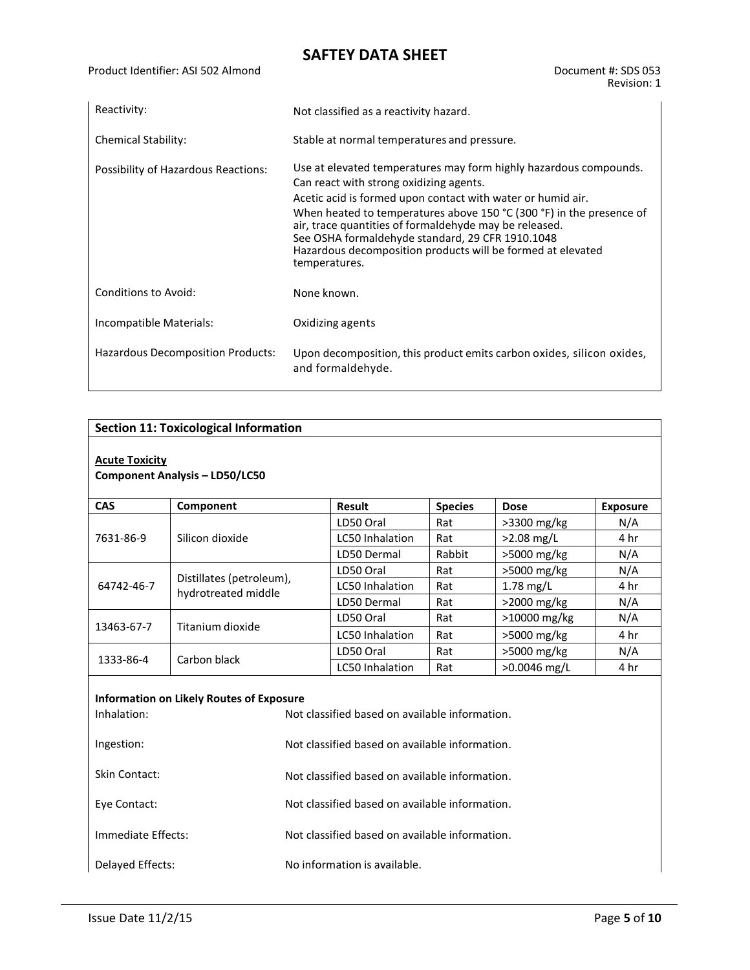| Reactivity:                         | Not classified as a reactivity hazard.                                                                                                                                                                                                                                                                                                                                                                                                            |  |  |
|-------------------------------------|---------------------------------------------------------------------------------------------------------------------------------------------------------------------------------------------------------------------------------------------------------------------------------------------------------------------------------------------------------------------------------------------------------------------------------------------------|--|--|
| <b>Chemical Stability:</b>          | Stable at normal temperatures and pressure.                                                                                                                                                                                                                                                                                                                                                                                                       |  |  |
| Possibility of Hazardous Reactions: | Use at elevated temperatures may form highly hazardous compounds.<br>Can react with strong oxidizing agents.<br>Acetic acid is formed upon contact with water or humid air.<br>When heated to temperatures above 150 °C (300 °F) in the presence of<br>air, trace quantities of formaldehyde may be released.<br>See OSHA formaldehyde standard, 29 CFR 1910.1048<br>Hazardous decomposition products will be formed at elevated<br>temperatures. |  |  |
| Conditions to Avoid:                | None known.                                                                                                                                                                                                                                                                                                                                                                                                                                       |  |  |
| Incompatible Materials:             | Oxidizing agents                                                                                                                                                                                                                                                                                                                                                                                                                                  |  |  |
| Hazardous Decomposition Products:   | Upon decomposition, this product emits carbon oxides, silicon oxides,<br>and formaldehyde.                                                                                                                                                                                                                                                                                                                                                        |  |  |

### **Section 11: Toxicological Information**

#### **Acute Toxicity**

#### **Component Analysis – LD50/LC50**

| <b>CAS</b> | Component                                       | <b>Result</b>          | <b>Species</b> | <b>Dose</b>    | <b>Exposure</b> |
|------------|-------------------------------------------------|------------------------|----------------|----------------|-----------------|
| 7631-86-9  | Silicon dioxide                                 | LD50 Oral              | Rat            | $>3300$ mg/kg  | N/A             |
|            |                                                 | <b>LC50 Inhalation</b> | Rat            | $>2.08$ mg/L   | 4 hr            |
|            |                                                 | LD50 Dermal            | Rabbit         | $>5000$ mg/kg  | N/A             |
| 64742-46-7 | Distillates (petroleum),<br>hydrotreated middle | LD50 Oral              | Rat            | $>5000$ mg/kg  | N/A             |
|            |                                                 | LC50 Inhalation        | Rat            | $1.78$ mg/L    | 4 hr            |
|            |                                                 | LD50 Dermal            | Rat            | $>2000$ mg/kg  | N/A             |
| 13463-67-7 | Titanium dioxide                                | LD50 Oral              | Rat            | $>10000$ mg/kg | N/A             |
|            |                                                 | <b>LC50 Inhalation</b> | Rat            | $>5000$ mg/kg  | 4 hr            |
| 1333-86-4  | Carbon black                                    | LD50 Oral              | Rat            | $>5000$ mg/kg  | N/A             |
|            |                                                 | <b>LC50 Inhalation</b> | Rat            | $>0.0046$ mg/L | 4 hr            |

#### **Information on Likely Routes of Exposure**

| Inhalation:        | Not classified based on available information. |
|--------------------|------------------------------------------------|
| Ingestion:         | Not classified based on available information. |
| Skin Contact:      | Not classified based on available information. |
| Eye Contact:       | Not classified based on available information. |
| Immediate Effects: | Not classified based on available information. |
| Delayed Effects:   | No information is available.                   |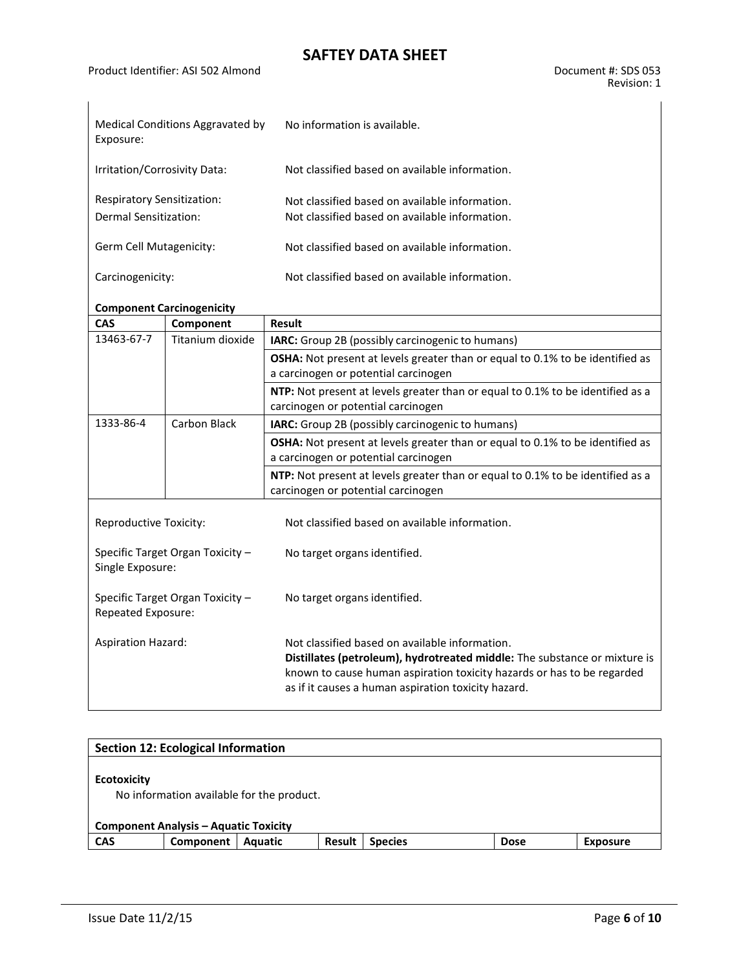| Medical Conditions Aggravated by<br>Exposure:              | No information is available.                                                                     |
|------------------------------------------------------------|--------------------------------------------------------------------------------------------------|
| Irritation/Corrosivity Data:                               | Not classified based on available information.                                                   |
| <b>Respiratory Sensitization:</b><br>Dermal Sensitization: | Not classified based on available information.<br>Not classified based on available information. |
| Germ Cell Mutagenicity:                                    | Not classified based on available information.                                                   |
| Carcinogenicity:                                           | Not classified based on available information.                                                   |

### **Component Carcinogenicity**

| CAS                       | Component                        | <b>Result</b>                                                                                                                                                                                                                                                |
|---------------------------|----------------------------------|--------------------------------------------------------------------------------------------------------------------------------------------------------------------------------------------------------------------------------------------------------------|
| 13463-67-7                | Titanium dioxide                 | IARC: Group 2B (possibly carcinogenic to humans)                                                                                                                                                                                                             |
|                           |                                  | <b>OSHA:</b> Not present at levels greater than or equal to 0.1% to be identified as                                                                                                                                                                         |
|                           |                                  | a carcinogen or potential carcinogen                                                                                                                                                                                                                         |
|                           |                                  | NTP: Not present at levels greater than or equal to 0.1% to be identified as a                                                                                                                                                                               |
|                           |                                  | carcinogen or potential carcinogen                                                                                                                                                                                                                           |
| 1333-86-4                 | Carbon Black                     | <b>IARC:</b> Group 2B (possibly carcinogenic to humans)                                                                                                                                                                                                      |
|                           |                                  | <b>OSHA:</b> Not present at levels greater than or equal to 0.1% to be identified as<br>a carcinogen or potential carcinogen                                                                                                                                 |
|                           |                                  | NTP: Not present at levels greater than or equal to 0.1% to be identified as a<br>carcinogen or potential carcinogen                                                                                                                                         |
| Reproductive Toxicity:    |                                  | Not classified based on available information.                                                                                                                                                                                                               |
| Single Exposure:          | Specific Target Organ Toxicity - | No target organs identified.                                                                                                                                                                                                                                 |
| Repeated Exposure:        | Specific Target Organ Toxicity - | No target organs identified.                                                                                                                                                                                                                                 |
| <b>Aspiration Hazard:</b> |                                  | Not classified based on available information.<br>Distillates (petroleum), hydrotreated middle: The substance or mixture is<br>known to cause human aspiration toxicity hazards or has to be regarded<br>as if it causes a human aspiration toxicity hazard. |

|                    | <b>Section 12: Ecological Information</b>                                                 |         |               |                |             |                 |
|--------------------|-------------------------------------------------------------------------------------------|---------|---------------|----------------|-------------|-----------------|
| <b>Ecotoxicity</b> | No information available for the product.<br><b>Component Analysis - Aquatic Toxicity</b> |         |               |                |             |                 |
| <b>CAS</b>         | Component                                                                                 | Aquatic | <b>Result</b> | <b>Species</b> | <b>Dose</b> | <b>Exposure</b> |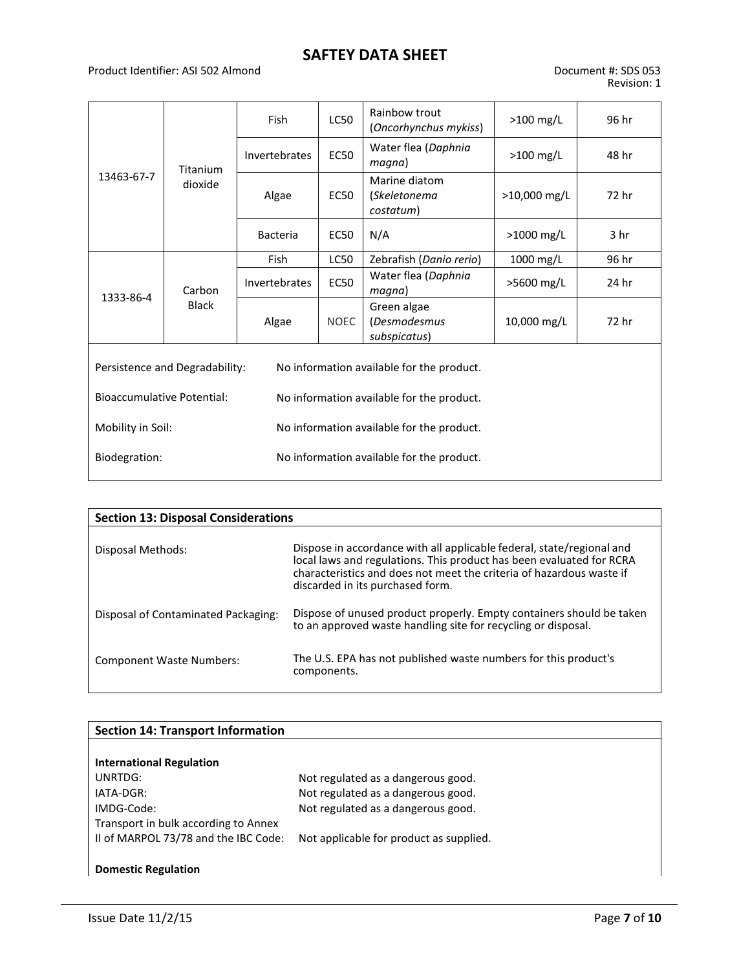#### Product Identifier: ASI 502 Almond Document #: SDS 053

|                                                                                |              | Fish          | <b>LC50</b>                                               | Rainbow trout<br>(Oncorhynchus mykiss)      | $>100$ mg/L  | 96 hr |
|--------------------------------------------------------------------------------|--------------|---------------|-----------------------------------------------------------|---------------------------------------------|--------------|-------|
| 13463-67-7                                                                     | Titanium     | Invertebrates | <b>EC50</b>                                               | Water flea (Daphnia<br>magna)               | $>100$ mg/L  | 48 hr |
|                                                                                | dioxide      | Algae         | Marine diatom<br><b>EC50</b><br>(Skeletonema<br>costatum) |                                             | >10,000 mg/L | 72 hr |
|                                                                                |              |               | EC50                                                      | N/A                                         | >1000 mg/L   | 3 hr  |
|                                                                                |              | Fish          | <b>LC50</b>                                               | Zebrafish (Danio rerio)                     | 1000 mg/L    | 96 hr |
| 1333-86-4                                                                      | Carbon       | Invertebrates | <b>EC50</b>                                               | Water flea (Daphnia<br>magna)               | >5600 mg/L   | 24 hr |
|                                                                                | <b>Black</b> | Algae         | <b>NOEC</b>                                               | Green algae<br>(Desmodesmus<br>subspicatus) | 10,000 mg/L  | 72 hr |
| Persistence and Degradability:<br>No information available for the product.    |              |               |                                                           |                                             |              |       |
| <b>Bioaccumulative Potential:</b><br>No information available for the product. |              |               |                                                           |                                             |              |       |
| Mobility in Soil:                                                              |              |               |                                                           | No information available for the product.   |              |       |
| No information available for the product.<br>Biodegration:                     |              |               |                                                           |                                             |              |       |

| <b>Section 13: Disposal Considerations</b> |                                                                                                                                                                                                                                                           |
|--------------------------------------------|-----------------------------------------------------------------------------------------------------------------------------------------------------------------------------------------------------------------------------------------------------------|
| Disposal Methods:                          | Dispose in accordance with all applicable federal, state/regional and<br>local laws and regulations. This product has been evaluated for RCRA<br>characteristics and does not meet the criteria of hazardous waste if<br>discarded in its purchased form. |
| Disposal of Contaminated Packaging:        | Dispose of unused product properly. Empty containers should be taken<br>to an approved waste handling site for recycling or disposal.                                                                                                                     |
| <b>Component Waste Numbers:</b>            | The U.S. EPA has not published waste numbers for this product's<br>components.                                                                                                                                                                            |

| <b>Section 14: Transport Information</b> |                                         |
|------------------------------------------|-----------------------------------------|
| <b>International Regulation</b>          |                                         |
| UNRTDG:                                  | Not regulated as a dangerous good.      |
| IATA-DGR:                                | Not regulated as a dangerous good.      |
| IMDG-Code:                               | Not regulated as a dangerous good.      |
| Transport in bulk according to Annex     |                                         |
| II of MARPOL 73/78 and the IBC Code:     | Not applicable for product as supplied. |
|                                          |                                         |
| <b>Domestic Regulation</b>               |                                         |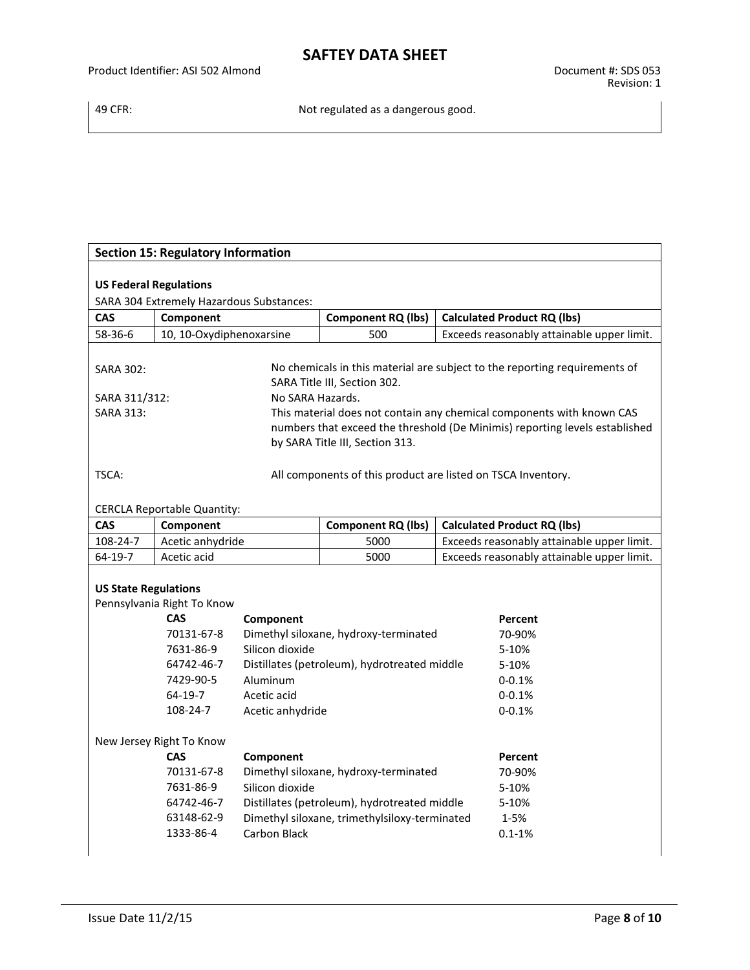|                               | <b>Section 15: Regulatory Information</b> |                     |                                               |                                                                             |
|-------------------------------|-------------------------------------------|---------------------|-----------------------------------------------|-----------------------------------------------------------------------------|
|                               |                                           |                     |                                               |                                                                             |
| <b>US Federal Regulations</b> |                                           |                     |                                               |                                                                             |
|                               | SARA 304 Extremely Hazardous Substances:  |                     |                                               |                                                                             |
| <b>CAS</b>                    | Component                                 |                     | <b>Component RQ (lbs)</b>                     | <b>Calculated Product RQ (lbs)</b>                                          |
| 58-36-6                       | 10, 10-Oxydiphenoxarsine                  |                     | 500                                           | Exceeds reasonably attainable upper limit.                                  |
| <b>SARA 302:</b>              |                                           |                     | SARA Title III, Section 302.                  | No chemicals in this material are subject to the reporting requirements of  |
| SARA 311/312:                 |                                           | No SARA Hazards.    |                                               |                                                                             |
| <b>SARA 313:</b>              |                                           |                     |                                               | This material does not contain any chemical components with known CAS       |
|                               |                                           |                     | by SARA Title III, Section 313.               | numbers that exceed the threshold (De Minimis) reporting levels established |
| TSCA:                         |                                           |                     |                                               | All components of this product are listed on TSCA Inventory.                |
|                               | <b>CERCLA Reportable Quantity:</b>        |                     |                                               |                                                                             |
| CAS                           | Component                                 |                     | <b>Component RQ (lbs)</b>                     | <b>Calculated Product RQ (lbs)</b>                                          |
| 108-24-7                      | Acetic anhydride                          |                     | 5000                                          | Exceeds reasonably attainable upper limit.                                  |
| 64-19-7                       | Acetic acid                               |                     | 5000                                          | Exceeds reasonably attainable upper limit.                                  |
|                               |                                           |                     |                                               |                                                                             |
| <b>US State Regulations</b>   | Pennsylvania Right To Know                |                     |                                               |                                                                             |
|                               | <b>CAS</b>                                | Component           |                                               | Percent                                                                     |
|                               | 70131-67-8                                |                     | Dimethyl siloxane, hydroxy-terminated         | 70-90%                                                                      |
|                               | 7631-86-9                                 | Silicon dioxide     |                                               | 5-10%                                                                       |
|                               | 64742-46-7                                |                     | Distillates (petroleum), hydrotreated middle  | 5-10%                                                                       |
|                               | 7429-90-5                                 | Aluminum            |                                               | $0 - 0.1%$                                                                  |
|                               | $64-19-7$                                 | Acetic acid         |                                               | $0 - 0.1%$                                                                  |
|                               | 108-24-7                                  | Acetic anhydride    |                                               | $0 - 0.1%$                                                                  |
|                               |                                           |                     |                                               |                                                                             |
|                               | New Jersey Right To Know                  |                     |                                               |                                                                             |
|                               | CAS                                       | Component           |                                               | Percent                                                                     |
|                               | 70131-67-8                                |                     | Dimethyl siloxane, hydroxy-terminated         | 70-90%                                                                      |
|                               | 7631-86-9                                 | Silicon dioxide     |                                               | 5-10%                                                                       |
|                               | 64742-46-7                                |                     | Distillates (petroleum), hydrotreated middle  | 5-10%                                                                       |
|                               | 63148-62-9                                |                     | Dimethyl siloxane, trimethylsiloxy-terminated | $1 - 5%$                                                                    |
|                               | 1333-86-4                                 | <b>Carbon Black</b> |                                               | $0.1 - 1%$                                                                  |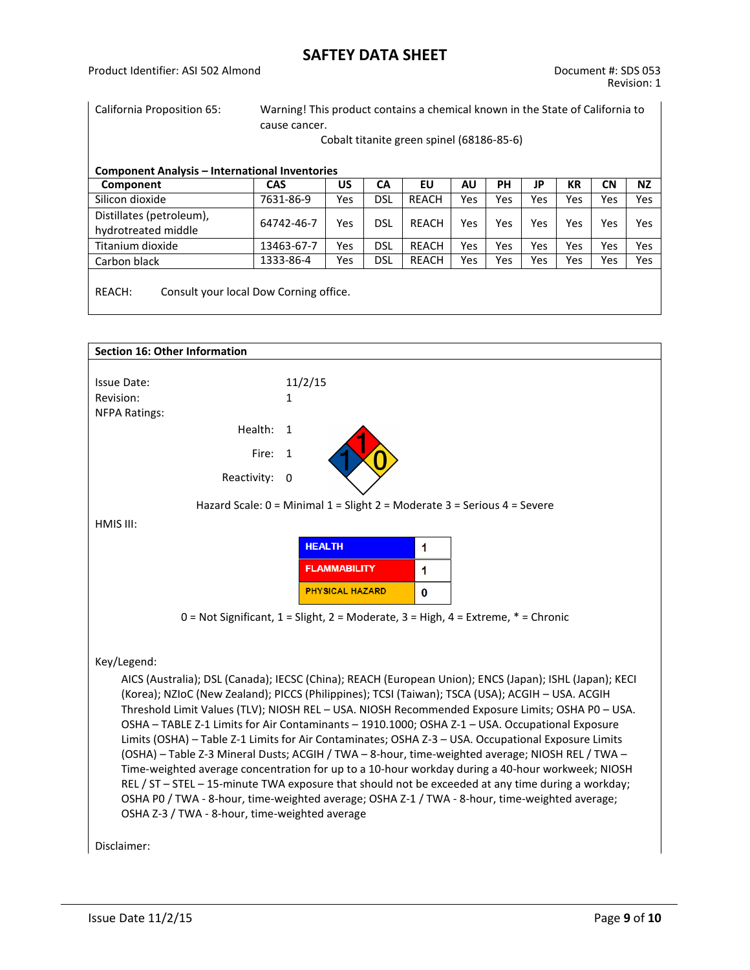California Proposition 65: Warning! This product contains a chemical known in the State of California to cause cancer.

Cobalt titanite green spinel (68186-85-6)

| Component                                       | <b>CAS</b> | US  | СA         | EU           | ΑU  | PН  | JP  | KR  | <b>CN</b> | <b>NZ</b> |
|-------------------------------------------------|------------|-----|------------|--------------|-----|-----|-----|-----|-----------|-----------|
| Silicon dioxide                                 | 7631-86-9  | Yes | DSL        | <b>REACH</b> | Yes | Yes | Yes | Yes | Yes       | Yes       |
| Distillates (petroleum),<br>hydrotreated middle | 64742-46-7 | Yes | dsl        | REACH        | Yes | Yes | Yes | Yes | Yes       | Yes       |
| Titanium dioxide                                | 13463-67-7 | Yes | <b>DSL</b> | <b>REACH</b> | Yes | Yes | Yes | Yes | Yes       | Yes       |
| Carbon black                                    | 1333-86-4  | Yes | DSL        | <b>REACH</b> | Yes | Yes | Yes | Yes | Yes       | Yes       |

REACH: Consult your local Dow Corning office.